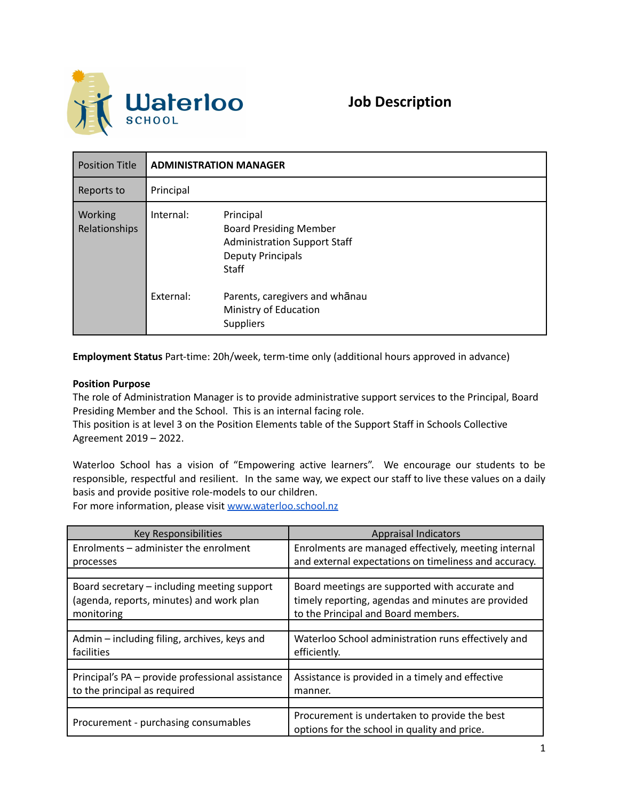

| <b>Position Title</b>    | <b>ADMINISTRATION MANAGER</b> |                                                                                                                               |
|--------------------------|-------------------------------|-------------------------------------------------------------------------------------------------------------------------------|
| Reports to               | Principal                     |                                                                                                                               |
| Working<br>Relationships | Internal:                     | Principal<br><b>Board Presiding Member</b><br><b>Administration Support Staff</b><br><b>Deputy Principals</b><br><b>Staff</b> |
|                          | External:                     | Parents, caregivers and whanau<br>Ministry of Education<br><b>Suppliers</b>                                                   |

**Employment Status** Part-time: 20h/week, term-time only (additional hours approved in advance)

## **Position Purpose**

The role of Administration Manager is to provide administrative support services to the Principal, Board Presiding Member and the School. This is an internal facing role.

This position is at level 3 on the Position Elements table of the Support Staff in Schools Collective Agreement 2019 – 2022.

Waterloo School has a vision of "Empowering active learners". We encourage our students to be responsible, respectful and resilient. In the same way, we expect our staff to live these values on a daily basis and provide positive role-models to our children.

For more information, please visit [www.waterloo.school.nz](http://www.waterloo.school.nz)

| <b>Key Responsibilities</b>                      | <b>Appraisal Indicators</b>                                                                   |
|--------------------------------------------------|-----------------------------------------------------------------------------------------------|
| Enrolments - administer the enrolment            | Enrolments are managed effectively, meeting internal                                          |
| processes                                        | and external expectations on timeliness and accuracy.                                         |
|                                                  |                                                                                               |
| Board secretary - including meeting support      | Board meetings are supported with accurate and                                                |
| (agenda, reports, minutes) and work plan         | timely reporting, agendas and minutes are provided                                            |
| monitoring                                       | to the Principal and Board members.                                                           |
|                                                  |                                                                                               |
| Admin – including filing, archives, keys and     | Waterloo School administration runs effectively and                                           |
| facilities                                       | efficiently.                                                                                  |
|                                                  |                                                                                               |
| Principal's PA - provide professional assistance | Assistance is provided in a timely and effective                                              |
| to the principal as required                     | manner.                                                                                       |
|                                                  |                                                                                               |
| Procurement - purchasing consumables             | Procurement is undertaken to provide the best<br>options for the school in quality and price. |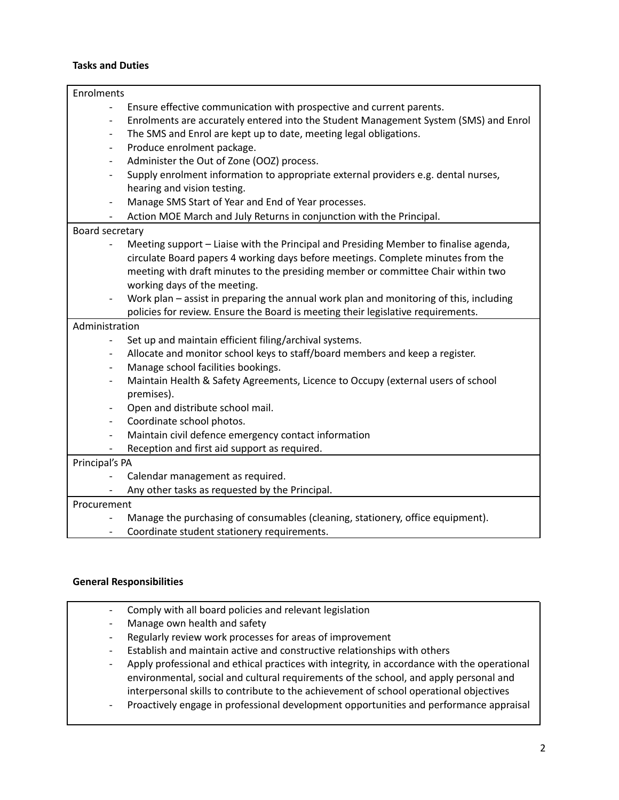## **Tasks and Duties**

| Enrolments               |                                                                                        |  |  |  |
|--------------------------|----------------------------------------------------------------------------------------|--|--|--|
|                          | Ensure effective communication with prospective and current parents.                   |  |  |  |
| $\qquad \qquad -$        | Enrolments are accurately entered into the Student Management System (SMS) and Enrol   |  |  |  |
| $\overline{\phantom{a}}$ | The SMS and Enrol are kept up to date, meeting legal obligations.                      |  |  |  |
| $\overline{\phantom{a}}$ | Produce enrolment package.                                                             |  |  |  |
| $\overline{\phantom{a}}$ | Administer the Out of Zone (OOZ) process.                                              |  |  |  |
| $\overline{a}$           | Supply enrolment information to appropriate external providers e.g. dental nurses,     |  |  |  |
|                          | hearing and vision testing.                                                            |  |  |  |
| $\overline{\phantom{a}}$ | Manage SMS Start of Year and End of Year processes.                                    |  |  |  |
|                          | Action MOE March and July Returns in conjunction with the Principal.                   |  |  |  |
| Board secretary          |                                                                                        |  |  |  |
|                          | Meeting support - Liaise with the Principal and Presiding Member to finalise agenda,   |  |  |  |
|                          | circulate Board papers 4 working days before meetings. Complete minutes from the       |  |  |  |
|                          | meeting with draft minutes to the presiding member or committee Chair within two       |  |  |  |
|                          | working days of the meeting.                                                           |  |  |  |
|                          | Work plan - assist in preparing the annual work plan and monitoring of this, including |  |  |  |
|                          | policies for review. Ensure the Board is meeting their legislative requirements.       |  |  |  |
| Administration           |                                                                                        |  |  |  |
| $\qquad \qquad -$        | Set up and maintain efficient filing/archival systems.                                 |  |  |  |
|                          | Allocate and monitor school keys to staff/board members and keep a register.           |  |  |  |
| $\overline{\phantom{a}}$ | Manage school facilities bookings.                                                     |  |  |  |
| $\qquad \qquad -$        | Maintain Health & Safety Agreements, Licence to Occupy (external users of school       |  |  |  |
|                          | premises).                                                                             |  |  |  |
| $\overline{\phantom{a}}$ | Open and distribute school mail.                                                       |  |  |  |
| $\overline{\phantom{0}}$ | Coordinate school photos.                                                              |  |  |  |
| $\overline{\phantom{a}}$ | Maintain civil defence emergency contact information                                   |  |  |  |
|                          | Reception and first aid support as required.                                           |  |  |  |
| Principal's PA           |                                                                                        |  |  |  |
|                          | Calendar management as required.                                                       |  |  |  |
|                          | Any other tasks as requested by the Principal.                                         |  |  |  |
| Procurement              |                                                                                        |  |  |  |
|                          | Manage the purchasing of consumables (cleaning, stationery, office equipment).         |  |  |  |
| $\overline{\phantom{a}}$ | Coordinate student stationery requirements.                                            |  |  |  |

## **General Responsibilities**

| $\overline{\phantom{a}}$ | Comply with all board policies and relevant legislation                                     |
|--------------------------|---------------------------------------------------------------------------------------------|
| -                        | Manage own health and safety                                                                |
| $\overline{\phantom{a}}$ | Regularly review work processes for areas of improvement                                    |
| $\overline{\phantom{a}}$ | Establish and maintain active and constructive relationships with others                    |
| -                        | Apply professional and ethical practices with integrity, in accordance with the operational |
|                          | environmental, social and cultural requirements of the school, and apply personal and       |
|                          | interpersonal skills to contribute to the achievement of school operational objectives      |
|                          | Broactively engage in profeccional development enpertunities and performance approject      |

- Proactively engage in professional development opportunities and performance appraisal